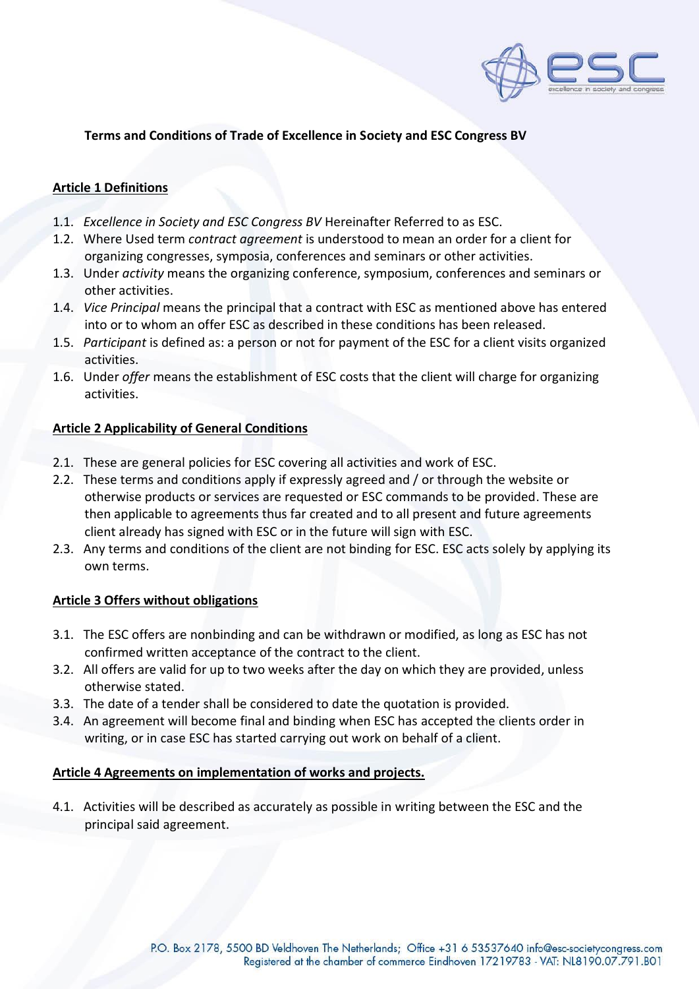

# **Terms and Conditions of Trade of Excellence in Society and ESC Congress BV**

## **Article 1 Definitions**

- 1.1.*Excellence in Society and ESC Congress BV* Hereinafter Referred to as ESC.
- 1.2. Where Used term *contract agreement* is understood to mean an order for a client for organizing congresses, symposia, conferences and seminars or other activities.
- 1.3. Under *activity* means the organizing conference, symposium, conferences and seminars or other activities.
- 1.4. *Vice Principal* means the principal that a contract with ESC as mentioned above has entered into or to whom an offer ESC as described in these conditions has been released.
- 1.5. *Participant* is defined as: a person or not for payment of the ESC for a client visits organized activities.
- 1.6. Under *offer* means the establishment of ESC costs that the client will charge for organizing activities.

## **Article 2 Applicability of General Conditions**

- 2.1. These are general policies for ESC covering all activities and work of ESC.
- 2.2. These terms and conditions apply if expressly agreed and / or through the website or otherwise products or services are requested or ESC commands to be provided. These are then applicable to agreements thus far created and to all present and future agreements client already has signed with ESC or in the future will sign with ESC.
- 2.3. Any terms and conditions of the client are not binding for ESC. ESC acts solely by applying its own terms.

## **Article 3 Offers without obligations**

- 3.1. The ESC offers are nonbinding and can be withdrawn or modified, as long as ESC has not confirmed written acceptance of the contract to the client.
- 3.2. All offers are valid for up to two weeks after the day on which they are provided, unless otherwise stated.
- 3.3. The date of a tender shall be considered to date the quotation is provided.
- 3.4. An agreement will become final and binding when ESC has accepted the clients order in writing, or in case ESC has started carrying out work on behalf of a client.

### **Article 4 Agreements on implementation of works and projects.**

4.1. Activities will be described as accurately as possible in writing between the ESC and the principal said agreement.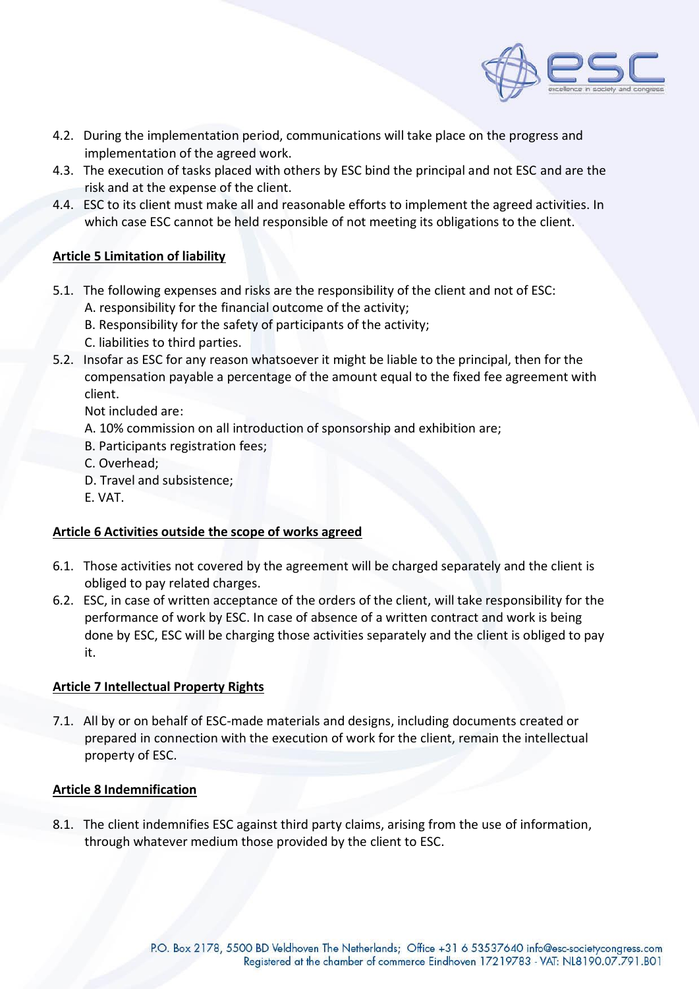

- 4.2. During the implementation period, communications will take place on the progress and implementation of the agreed work.
- 4.3. The execution of tasks placed with others by ESC bind the principal and not ESC and are the risk and at the expense of the client.
- 4.4. ESC to its client must make all and reasonable efforts to implement the agreed activities. In which case ESC cannot be held responsible of not meeting its obligations to the client.

## **Article 5 Limitation of liability**

- 5.1. The following expenses and risks are the responsibility of the client and not of ESC:
	- A. responsibility for the financial outcome of the activity;
	- B. Responsibility for the safety of participants of the activity;
	- C. liabilities to third parties.
- 5.2. Insofar as ESC for any reason whatsoever it might be liable to the principal, then for the compensation payable a percentage of the amount equal to the fixed fee agreement with client.

Not included are:

- A. 10% commission on all introduction of sponsorship and exhibition are;
- B. Participants registration fees;
- C. Overhead;
- D. Travel and subsistence;
- E. VAT.

## **Article 6 Activities outside the scope of works agreed**

- 6.1. Those activities not covered by the agreement will be charged separately and the client is obliged to pay related charges.
- 6.2. ESC, in case of written acceptance of the orders of the client, will take responsibility for the performance of work by ESC. In case of absence of a written contract and work is being done by ESC, ESC will be charging those activities separately and the client is obliged to pay it.

## **Article 7 Intellectual Property Rights**

7.1. All by or on behalf of ESC-made materials and designs, including documents created or prepared in connection with the execution of work for the client, remain the intellectual property of ESC.

### **Article 8 Indemnification**

8.1. The client indemnifies ESC against third party claims, arising from the use of information, through whatever medium those provided by the client to ESC.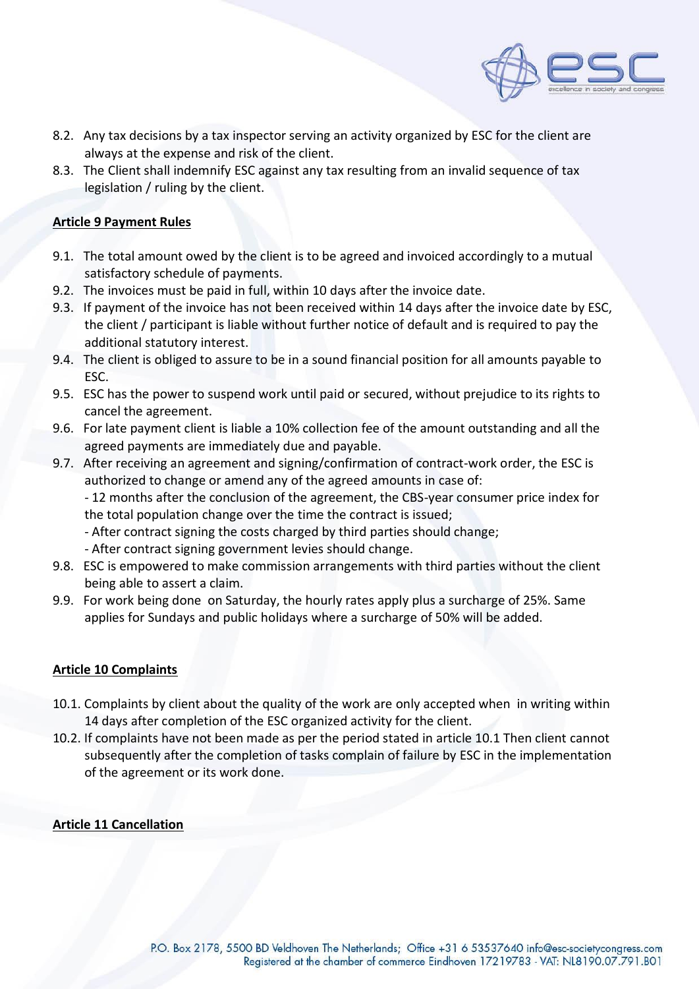

- 8.2. Any tax decisions by a tax inspector serving an activity organized by ESC for the client are always at the expense and risk of the client.
- 8.3. The Client shall indemnify ESC against any tax resulting from an invalid sequence of tax legislation / ruling by the client.

## **Article 9 Payment Rules**

- 9.1. The total amount owed by the client is to be agreed and invoiced accordingly to a mutual satisfactory schedule of payments.
- 9.2. The invoices must be paid in full, within 10 days after the invoice date.
- 9.3. If payment of the invoice has not been received within 14 days after the invoice date by ESC, the client / participant is liable without further notice of default and is required to pay the additional statutory interest.
- 9.4. The client is obliged to assure to be in a sound financial position for all amounts payable to ESC.
- 9.5. ESC has the power to suspend work until paid or secured, without prejudice to its rights to cancel the agreement.
- 9.6. For late payment client is liable a 10% collection fee of the amount outstanding and all the agreed payments are immediately due and payable.
- 9.7. After receiving an agreement and signing/confirmation of contract-work order, the ESC is authorized to change or amend any of the agreed amounts in case of:

- 12 months after the conclusion of the agreement, the CBS-year consumer price index for the total population change over the time the contract is issued;

- After contract signing the costs charged by third parties should change;
- After contract signing government levies should change.
- 9.8. ESC is empowered to make commission arrangements with third parties without the client being able to assert a claim.
- 9.9. For work being done on Saturday, the hourly rates apply plus a surcharge of 25%. Same applies for Sundays and public holidays where a surcharge of 50% will be added.

### **Article 10 Complaints**

- 10.1. Complaints by client about the quality of the work are only accepted when in writing within 14 days after completion of the ESC organized activity for the client.
- 10.2. If complaints have not been made as per the period stated in article 10.1 Then client cannot subsequently after the completion of tasks complain of failure by ESC in the implementation of the agreement or its work done.

### **Article 11 Cancellation**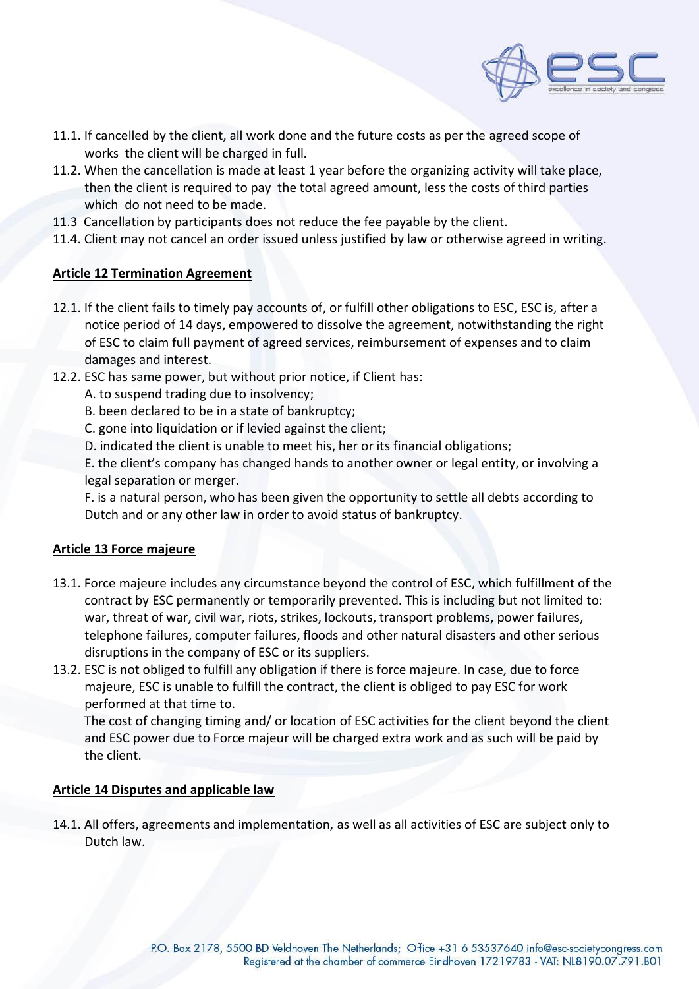

- 11.1. If cancelled by the client, all work done and the future costs as per the agreed scope of works the client will be charged in full.
- 11.2. When the cancellation is made at least 1 year before the organizing activity will take place, then the client is required to pay the total agreed amount, less the costs of third parties which do not need to be made.
- 11.3 Cancellation by participants does not reduce the fee payable by the client.
- 11.4. Client may not cancel an order issued unless justified by law or otherwise agreed in writing.

## **Article 12 Termination Agreement**

- 12.1. If the client fails to timely pay accounts of, or fulfill other obligations to ESC, ESC is, after a notice period of 14 days, empowered to dissolve the agreement, notwithstanding the right of ESC to claim full payment of agreed services, reimbursement of expenses and to claim damages and interest.
- 12.2. ESC has same power, but without prior notice, if Client has:
	- A. to suspend trading due to insolvency;
	- B. been declared to be in a state of bankruptcy;
	- C. gone into liquidation or if levied against the client;
	- D. indicated the client is unable to meet his, her or its financial obligations;

E. the client's company has changed hands to another owner or legal entity, or involving a legal separation or merger.

F. is a natural person, who has been given the opportunity to settle all debts according to Dutch and or any other law in order to avoid status of bankruptcy.

### **Article 13 Force majeure**

- 13.1. Force majeure includes any circumstance beyond the control of ESC, which fulfillment of the contract by ESC permanently or temporarily prevented. This is including but not limited to: war, threat of war, civil war, riots, strikes, lockouts, transport problems, power failures, telephone failures, computer failures, floods and other natural disasters and other serious disruptions in the company of ESC or its suppliers.
- 13.2. ESC is not obliged to fulfill any obligation if there is force majeure. In case, due to force majeure, ESC is unable to fulfill the contract, the client is obliged to pay ESC for work performed at that time to.

 The cost of changing timing and/ or location of ESC activities for the client beyond the client and ESC power due to Force majeur will be charged extra work and as such will be paid by the client.

### **Article 14 Disputes and applicable law**

14.1. All offers, agreements and implementation, as well as all activities of ESC are subject only to Dutch law.